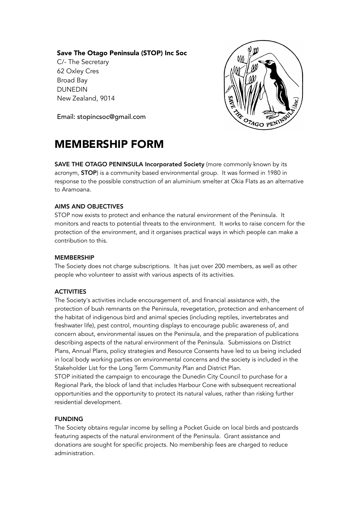## Save The Otago Peninsula (STOP) Inc Soc

C/- The Secretary 62 Oxley Cres Broad Bay DUNEDIN New Zealand, 9014



Email: stopincsoc@gmail.com

# MEMBERSHIP FORM

SAVE THE OTAGO PENINSULA Incorporated Society (more commonly known by its acronym, **STOP**) is a community based environmental group. It was formed in 1980 in response to the possible construction of an aluminium smelter at Okia Flats as an alternative to Aramoana.

## AIMS AND OBJECTIVES

STOP now exists to protect and enhance the natural environment of the Peninsula. It monitors and reacts to potential threats to the environment. It works to raise concern for the protection of the environment, and it organises practical ways in which people can make a contribution to this.

#### MEMBERSHIP

The Society does not charge subscriptions. It has just over 200 members, as well as other people who volunteer to assist with various aspects of its activities.

# **ACTIVITIES**

The Society's activities include encouragement of, and financial assistance with, the protection of bush remnants on the Peninsula, revegetation, protection and enhancement of the habitat of indigenous bird and animal species (including reptiles, invertebrates and freshwater life), pest control, mounting displays to encourage public awareness of, and concern about, environmental issues on the Peninsula, and the preparation of publications describing aspects of the natural environment of the Peninsula. Submissions on District Plans, Annual Plans, policy strategies and Resource Consents have led to us being included in local body working parties on environmental concerns and the society is included in the Stakeholder List for the Long Term Community Plan and District Plan.

STOP initiated the campaign to encourage the Dunedin City Council to purchase for a Regional Park, the block of land that includes Harbour Cone with subsequent recreational opportunities and the opportunity to protect its natural values, rather than risking further residential development.

#### FUNDING

The Society obtains regular income by selling a Pocket Guide on local birds and postcards featuring aspects of the natural environment of the Peninsula. Grant assistance and donations are sought for specific projects. No membership fees are charged to reduce administration.